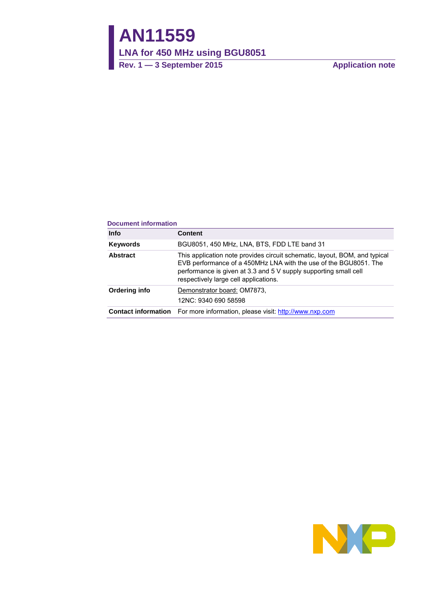## **AN11559**

**LNA for 450 MHz using BGU8051**

**Rev. 1 — 3 September 2015 Application note**

#### **Document information**

| <b>Info</b>     | <b>Content</b>                                                                                                                                                                                                                                              |
|-----------------|-------------------------------------------------------------------------------------------------------------------------------------------------------------------------------------------------------------------------------------------------------------|
| Keywords        | BGU8051, 450 MHz, LNA, BTS, FDD LTE band 31                                                                                                                                                                                                                 |
| <b>Abstract</b> | This application note provides circuit schematic, layout, BOM, and typical<br>EVB performance of a 450MHz LNA with the use of the BGU8051. The<br>performance is given at 3.3 and 5 V supply supporting small cell<br>respectively large cell applications. |
| Ordering info   | Demonstrator board: OM7873,<br>12NC: 9340 690 58598                                                                                                                                                                                                         |
|                 | <b>Contact information</b> For more information, please visit: http://www.nxp.com                                                                                                                                                                           |

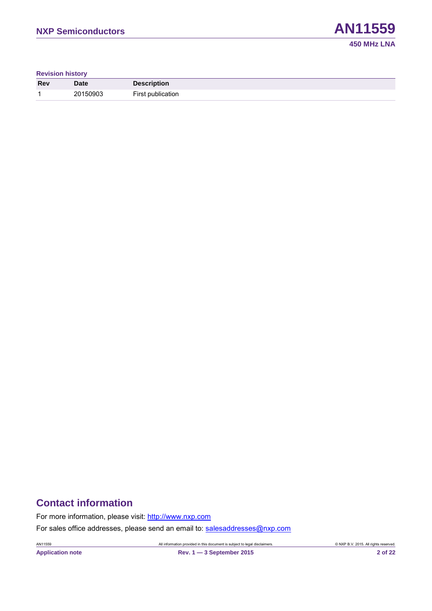**Revision history**

| <b>Rev</b> | Date     | <b>Description</b> |
|------------|----------|--------------------|
|            | 20150903 | First publication  |

#### **Contact information**

For more information, please visit: [http://www.nxp.com](http://www.nxp.com/)

For sales office addresses, please send an email to: [salesaddresses@nxp.com](mailto:salesaddresses@nxp.com)

**Application note Rev. 1 — 3 September 2015 2 of 22**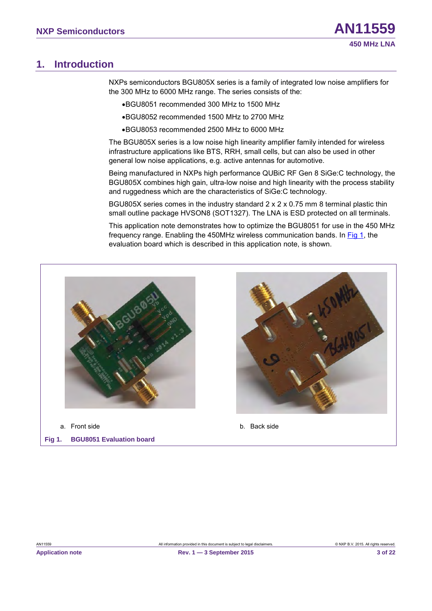#### <span id="page-2-1"></span>**1. Introduction**

NXPs semiconductors BGU805X series is a family of integrated low noise amplifiers for the 300 MHz to 6000 MHz range. The series consists of the:

- •BGU8051 recommended 300 MHz to 1500 MHz
- •BGU8052 recommended 1500 MHz to 2700 MHz
- •BGU8053 recommended 2500 MHz to 6000 MHz

The BGU805X series is a low noise high linearity amplifier family intended for wireless infrastructure applications like BTS, RRH, small cells, but can also be used in other general low noise applications, e.g. active antennas for automotive.

Being manufactured in NXPs high performance QUBiC RF Gen 8 SiGe:C technology, the BGU805X combines high gain, ultra-low noise and high linearity with the process stability and ruggedness which are the characteristics of SiGe:C technology.

BGU805X series comes in the industry standard 2 x 2 x 0.75 mm 8 terminal plastic thin small outline package HVSON8 (SOT1327). The LNA is ESD protected on all terminals.

This application note demonstrates how to optimize the BGU8051 for use in the 450 MHz frequency range. Enabling the 450MHz wireless communication bands. In [Fig 1,](#page-2-0) the evaluation board which is described in this application note, is shown.



<span id="page-2-0"></span>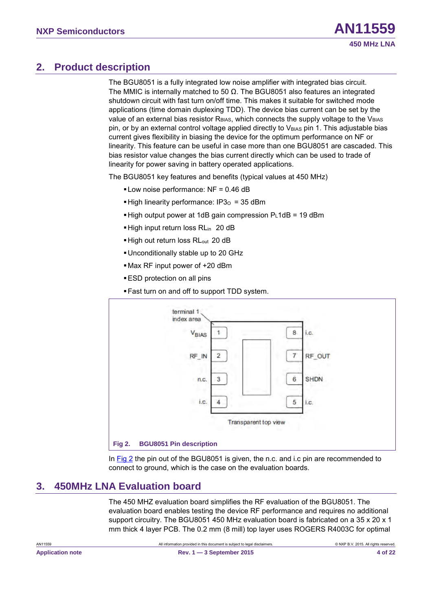#### <span id="page-3-1"></span>**2. Product description**

The BGU8051 is a fully integrated low noise amplifier with integrated bias circuit. The MMIC is internally matched to 50  $\Omega$ . The BGU8051 also features an integrated shutdown circuit with fast turn on/off time. This makes it suitable for switched mode applications (time domain duplexing TDD). The device bias current can be set by the value of an external bias resistor  $R_{B|AS}$ , which connects the supply voltage to the  $V_{B|AS}$ pin, or by an external control voltage applied directly to V<sub>BIAS</sub> pin 1. This adjustable bias current gives flexibility in biasing the device for the optimum performance on NF or linearity. This feature can be useful in case more than one BGU8051 are cascaded. This bias resistor value changes the bias current directly which can be used to trade of linearity for power saving in battery operated applications.

The BGU8051 key features and benefits (typical values at 450 MHz)

- Low noise performance: NF = 0.46 dB
- High linearity performance:  $IP3<sub>o</sub> = 35$  dBm
- $\blacktriangleright$  High output power at 1dB gain compression PL1dB = 19 dBm
- High input return loss RL<sub>in</sub> 20 dB
- High out return loss RL<sub>out</sub> 20 dB
- Unconditionally stable up to 20 GHz
- Max RF input power of +20 dBm
- ESD protection on all pins
- Fast turn on and off to support TDD system.



<span id="page-3-0"></span>In [Fig 2](#page-3-0) the pin out of the BGU8051 is given, the n.c. and i.c pin are recommended to connect to ground, which is the case on the evaluation boards.

#### <span id="page-3-2"></span>**3. 450MHz LNA Evaluation board**

The 450 MHZ evaluation board simplifies the RF evaluation of the BGU8051. The evaluation board enables testing the device RF performance and requires no additional support circuitry. The BGU8051 450 MHz evaluation board is fabricated on a 35 x 20 x 1 mm thick 4 layer PCB. The 0.2 mm (8 mill) top layer uses ROGERS R4003C for optimal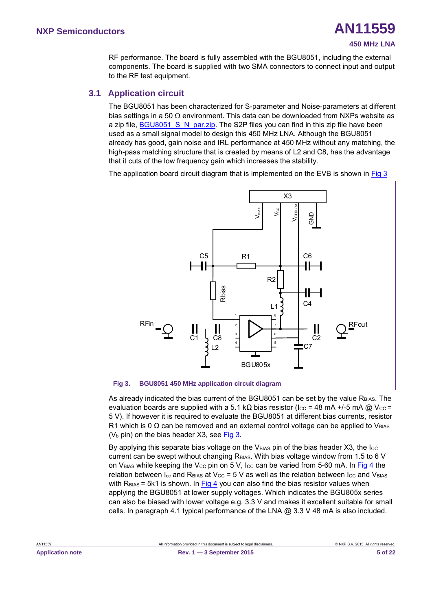#### **450 MHz LNA**

RF performance. The board is fully assembled with the BGU8051, including the external components. The board is supplied with two SMA connectors to connect input and output to the RF test equipment.

#### <span id="page-4-1"></span>**3.1 Application circuit**

The BGU8051 has been characterized for S-parameter and Noise-parameters at different bias settings in a 50  $\Omega$  environment. This data can be downloaded from NXPs website as a zip file, BGU8051 S N par.zip. The S2P files you can find in this zip file have been used as a small signal model to design this 450 MHz LNA. Although the BGU8051 already has good, gain noise and IRL performance at 450 MHz without any matching, the high-pass matching structure that is created by means of L2 and C8, has the advantage that it cuts of the low frequency gain which increases the stability.

The application board circuit diagram that is implemented on the EVB is shown in  $Fig 3$ 



<span id="page-4-0"></span>As already indicated the bias current of the BGU8051 can be set by the value R<sub>BIAS</sub>. The evaluation boards are supplied with a 5.1 kΩ bias resistor (Icc = 48 mA +/-5 mA @ Vcc = 5 V). If however it is required to evaluate the BGU8051 at different bias currents, resistor R1 which is 0  $\Omega$  can be removed and an external control voltage can be applied to V<sub>BIAS</sub> ( $V<sub>b</sub>$  pin) on the bias header X3, see [Fig 3.](#page-4-0)

By applying this separate bias voltage on the V $_{BIAS}$  pin of the bias header X3, the I $_{CC}$ current can be swept without changing R<sub>BIAS</sub>. With bias voltage window from 1.5 to 6 V on V<sub>BIAS</sub> while keeping the V<sub>CC</sub> pin on 5 V, I<sub>CC</sub> can be varied from 5-60 mA. In [Fig 4](#page-5-0) the relation between  $I_{cc}$  and  $R_{BIAS}$  at V<sub>CC</sub> = 5 V as well as the relation between  $I_{CC}$  and V<sub>BIAS</sub> with  $R<sub>BIAS</sub> = 5k1$  is shown. In  $Fig 4$  you can also find the bias resistor values when</u> applying the BGU8051 at lower supply voltages. Which indicates the BGU805x series can also be biased with lower voltage e.g. 3.3 V and makes it excellent suitable for small cells. In paragraph 4.1 typical performance of the LNA  $@$  3.3 V 48 mA is also included.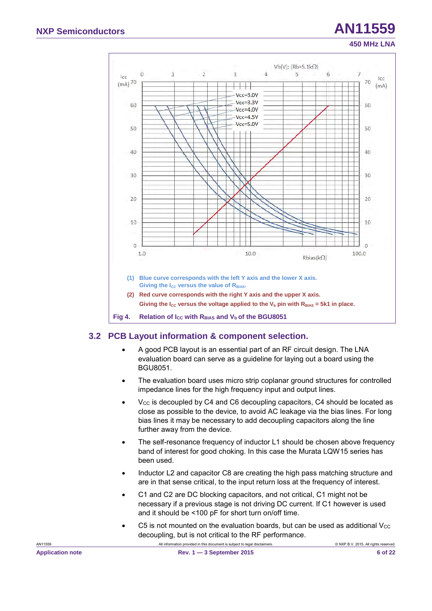

#### <span id="page-5-1"></span><span id="page-5-0"></span>**3.2 PCB Layout information & component selection.**

- A good PCB layout is an essential part of an RF circuit design. The LNA evaluation board can serve as a guideline for laying out a board using the BGU8051.
- The evaluation board uses micro strip coplanar ground structures for controlled impedance lines for the high frequency input and output lines.
- V $_{\rm CC}$  is decoupled by C4 and C6 decoupling capacitors, C4 should be located as close as possible to the device, to avoid AC leakage via the bias lines. For long bias lines it may be necessary to add decoupling capacitors along the line further away from the device.
- The self-resonance frequency of inductor L1 should be chosen above frequency band of interest for good choking. In this case the Murata LQW15 series has been used.
- Inductor L2 and capacitor C8 are creating the high pass matching structure and are in that sense critical, to the input return loss at the frequency of interest.
- C1 and C2 are DC blocking capacitors, and not critical, C1 might not be necessary if a previous stage is not driving DC current. If C1 however is used and it should be <100 pF for short turn on/off time.
- C5 is not mounted on the evaluation boards, but can be used as additional  $V_{\text{CC}}$ decoupling, but is not critical to the RF performance.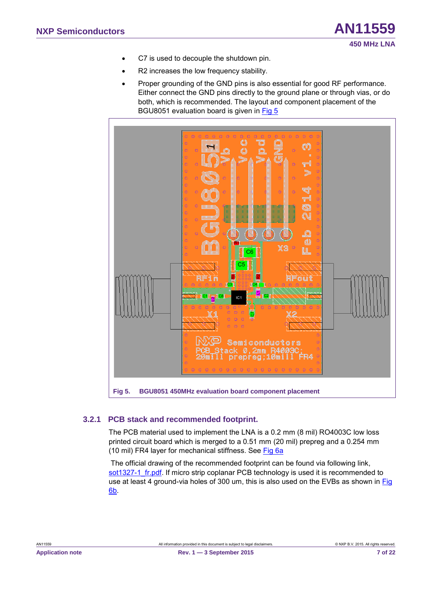- C7 is used to decouple the shutdown pin.
- R2 increases the low frequency stability.
- Proper grounding of the GND pins is also essential for good RF performance. Either connect the GND pins directly to the ground plane or through vias, or do both, which is recommended. The layout and component placement of the BGU8051 evaluation board is given in [Fig 5](#page-6-0)



#### <span id="page-6-0"></span>**3.2.1 PCB stack and recommended footprint.**

<span id="page-6-1"></span>The PCB material used to implement the LNA is a 0.2 mm (8 mil) RO4003C low loss printed circuit board which is merged to a 0.51 mm (20 mil) prepreg and a 0.254 mm (10 mil) FR4 layer for mechanical stiffness. See [Fig 6a](#page-7-0)

The official drawing of the recommended footprint can be found via following link, sot1327-1 fr.pdf. If micro strip coplanar PCB technology is used it is recommended to use at least 4 ground-via holes of 300 um, this is also used on the EVBs as shown in Fig [6](#page-7-0)[b.](#page-7-1)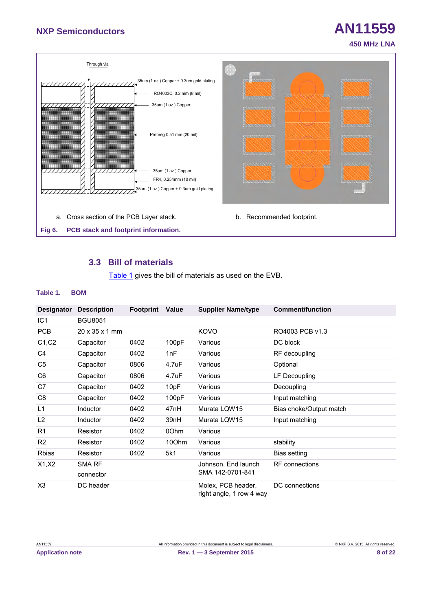## **NXP Semiconductors AN11559**



#### <span id="page-7-3"></span><span id="page-7-2"></span><span id="page-7-0"></span>**3.3 Bill of materials**

<span id="page-7-1"></span>[Table 1 g](#page-7-2)ives the bill of materials as used on the EVB.

#### **Table 1. BOM**

| <b>Designator</b> | <b>Description</b>         | <b>Footprint</b> | Value | <b>Supplier Name/type</b>                      | <b>Comment/function</b> |
|-------------------|----------------------------|------------------|-------|------------------------------------------------|-------------------------|
| IC <sub>1</sub>   | <b>BGU8051</b>             |                  |       |                                                |                         |
| <b>PCB</b>        | $20 \times 35 \times 1$ mm |                  |       | KOVO                                           | RO4003 PCB v1.3         |
| C1, C2            | Capacitor                  | 0402             | 100pF | Various                                        | DC block                |
| C <sub>4</sub>    | Capacitor                  | 0402             | 1nF   | Various                                        | RF decoupling           |
| C5                | Capacitor                  | 0806             | 4.7uF | Various                                        | Optional                |
| C <sub>6</sub>    | Capacitor                  | 0806             | 4.7uF | Various                                        | LF Decoupling           |
| C7                | Capacitor                  | 0402             | 10pF  | Various                                        | Decoupling              |
| C <sub>8</sub>    | Capacitor                  | 0402             | 100pF | Various                                        | Input matching          |
| L1                | Inductor                   | 0402             | 47nH  | Murata LQW15                                   | Bias choke/Output match |
| L <sub>2</sub>    | <b>Inductor</b>            | 0402             | 39nH  | Murata LQW15                                   | Input matching          |
| R <sub>1</sub>    | Resistor                   | 0402             | 00hm  | Various                                        |                         |
| R <sub>2</sub>    | Resistor                   | 0402             | 10Ohm | Various                                        | stability               |
| <b>Rbias</b>      | Resistor                   | 0402             | 5k1   | Various                                        | Bias setting            |
| X1, X2            | SMA RF                     |                  |       | Johnson, End launch                            | <b>RF</b> connections   |
|                   | connector                  |                  |       | SMA 142-0701-841                               |                         |
| X3                | DC header                  |                  |       | Molex, PCB header,<br>right angle, 1 row 4 way | DC connections          |
|                   |                            |                  |       |                                                |                         |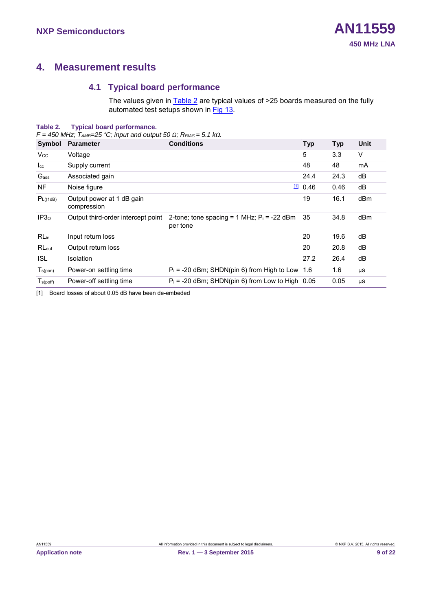#### <span id="page-8-2"></span>**4. Measurement results**

#### <span id="page-8-3"></span>**4.1 Typical board performance**

The values given in **Table 2** are typical values of >25 boards measured on the fully automated test setups shown in [Fig 13.](#page-15-0)

#### <span id="page-8-0"></span>**Table 2. Typical board performance.**

*F = 450 MHz; TAMB=25 °C; input and output 50 Ω; RBIAS = 5.1 kΩ.* 

| Symbol               | <b>Parameter</b>                         | <b>Conditions</b>                                         | <b>Typ</b> | <b>Typ</b> | Unit |
|----------------------|------------------------------------------|-----------------------------------------------------------|------------|------------|------|
| <b>Vcc</b>           | Voltage                                  |                                                           | 5          | 3.3        | V    |
| $_{\rm lcc}$         | Supply current                           |                                                           | 48         | 48         | mA   |
| Gass                 | Associated gain                          |                                                           | 24.4       | 24.3       | dB   |
| <b>NF</b>            | Noise figure                             | Щ                                                         | 0.46       | 0.46       | dB   |
| P <sub>L((1dB)</sub> | Output power at 1 dB gain<br>compression |                                                           | 19         | 16.1       | dBm  |
| IP3 <sub>o</sub>     | Output third-order intercept point       | 2-tone; tone spacing = 1 MHz; $P_i$ = -22 dBm<br>per tone | 35         | 34.8       | dBm  |
| $RL_{in}$            | Input return loss                        |                                                           | 20         | 19.6       | dB   |
| RL <sub>out</sub>    | Output return loss                       |                                                           | 20         | 20.8       | dB   |
| <b>ISL</b>           | Isolation                                |                                                           | 27.2       | 26.4       | dB   |
| $T_{s(pon)}$         | Power-on settling time                   | $P_i$ = -20 dBm; SHDN(pin 6) from High to Low             | 1.6        | 1.6        | μS   |
| $T_{s(poff)}$        | Power-off settling time                  | $P_i = -20$ dBm; SHDN(pin 6) from Low to High 0.05        |            | 0.05       | μS   |

<span id="page-8-1"></span>[1] Board losses of about 0.05 dB have been de-embeded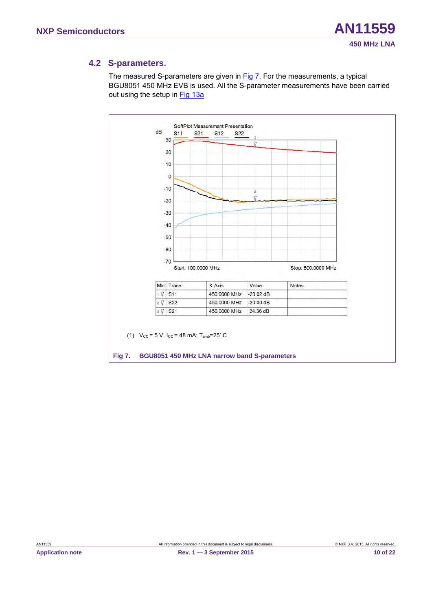#### <span id="page-9-1"></span>**4.2 S-parameters.**

The measured S-parameters are given in [Fig 7.](#page-9-0) For the measurements, a typical BGU8051 450 MHz EVB is used. All the S-parameter measurements have been carried out using the setup in Fig 13a

<span id="page-9-0"></span>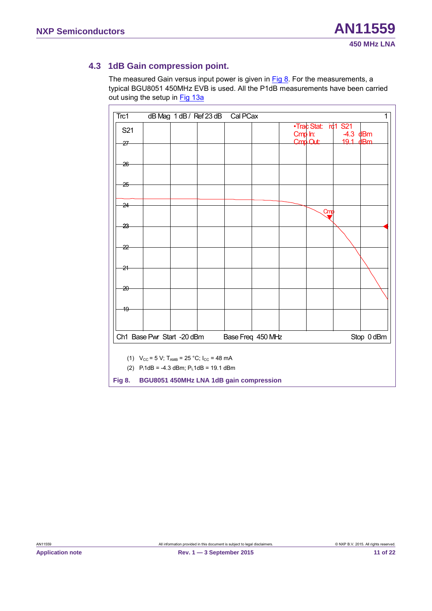#### <span id="page-10-1"></span>**4.3 1dB Gain compression point.**

The measured Gain versus input power is given in  $Fig 8$ . For the measurements, a typical BGU8051 450MHz EVB is used. All the P1dB measurements have been carried out using the setup in [Fig 13a](#page-15-0)

| Trc1            |                                                                                                                                        | dB Mag 1 dB / Ref 23 dB | Cal PCax          |         |                     |        | $\mathbf{1}$ |
|-----------------|----------------------------------------------------------------------------------------------------------------------------------------|-------------------------|-------------------|---------|---------------------|--------|--------------|
| S21             |                                                                                                                                        |                         |                   | Cmp In: | .Trac Stat: rc1 S21 | $-4.3$ | dBm          |
| $-27$           |                                                                                                                                        |                         |                   |         | Cmp Out:            | 191    | dBm          |
| $-26$           |                                                                                                                                        |                         |                   |         |                     |        |              |
| $-25$           |                                                                                                                                        |                         |                   |         |                     |        |              |
| $-24$           |                                                                                                                                        |                         |                   |         |                     |        |              |
|                 |                                                                                                                                        |                         |                   |         | Cmd                 |        |              |
| -23-            |                                                                                                                                        |                         |                   |         |                     |        |              |
| -22             |                                                                                                                                        |                         |                   |         |                     |        |              |
| -21             |                                                                                                                                        |                         |                   |         |                     |        |              |
|                 |                                                                                                                                        |                         |                   |         |                     |        |              |
| $\overline{20}$ |                                                                                                                                        |                         |                   |         |                     |        |              |
| -19             |                                                                                                                                        |                         |                   |         |                     |        |              |
|                 | Ch1 Base Pwr Start -20 dBm                                                                                                             |                         | Base Freq 450 MHz |         |                     |        | Stop 0 dBm   |
|                 |                                                                                                                                        |                         |                   |         |                     |        |              |
|                 | (1) $V_{\text{CC}} = 5 \text{ V}$ ; T <sub>AMB</sub> = 25 °C; I <sub>CC</sub> = 48 mA<br>(2) $P_i1dB = -4.3 dBm$ ; $P_i1dB = 19.1 dBm$ |                         |                   |         |                     |        |              |
| <b>Fig 8.</b>   | BGU8051 450MHz LNA 1dB gain compression                                                                                                |                         |                   |         |                     |        |              |

<span id="page-10-0"></span>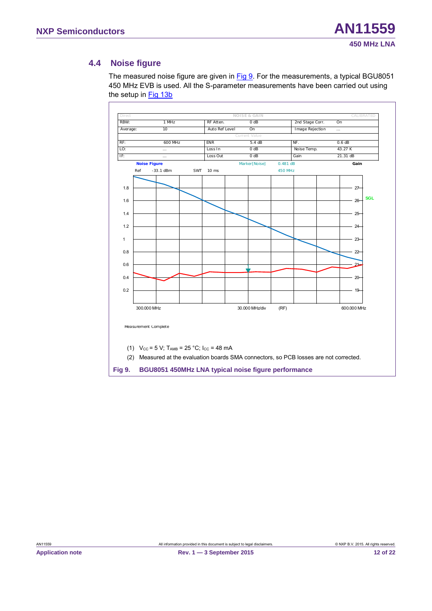#### **4.4 Noise figure**

<span id="page-11-1"></span>The measured noise figure are given in [Fig 9.](#page-11-0) For the measurements, a typical BGU8051 450 MHz EVB is used. All the S-parameter measurements have been carried out using the setup in [Fig 13b](#page-15-0)



<span id="page-11-0"></span>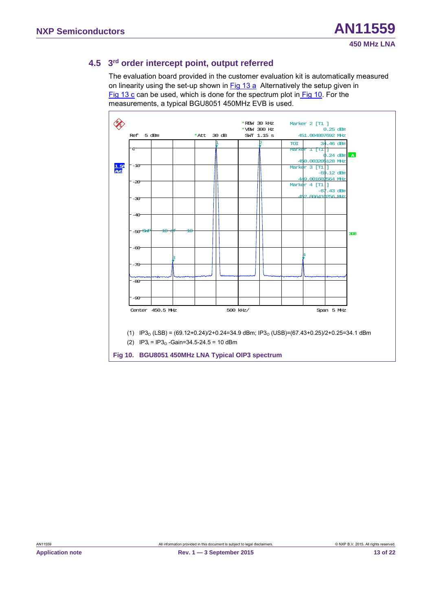#### <span id="page-12-1"></span>**4.5 3rd order intercept point, output referred**

The evaluation board provided in the customer evaluation kit is automatically measured on linearity using the set-up shown in [Fig 13](#page-15-0) [a](#page-15-1) Alternatively the setup given in [Fig 13](#page-15-0) [c](#page-15-2) can be used, which is done for the spectrum plot in [Fig 10.](#page-12-0) For the measurements, a typical BGU8051 450MHz EVB is used.



<span id="page-12-0"></span>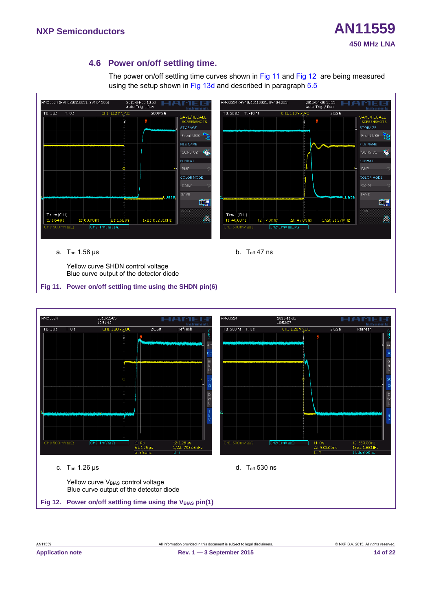# **450 MHz LNA**

#### <span id="page-13-2"></span>**4.6 Power on/off settling time.**

The power on/off settling time curves shown in [Fig 11](#page-13-0) and [Fig 12](#page-13-1) are being measured using the setup shown in [Fig 13d](#page-15-0) and described in paragraph [5.5](#page-16-0)



a. Ton 1.58 µs

b.  $T_{off}$  47 ns

Yellow curve SHDN control voltage Blue curve output of the detector diode

#### <span id="page-13-0"></span>**Fig 11. Power on/off settling time using the SHDN pin(6)**

<span id="page-13-1"></span>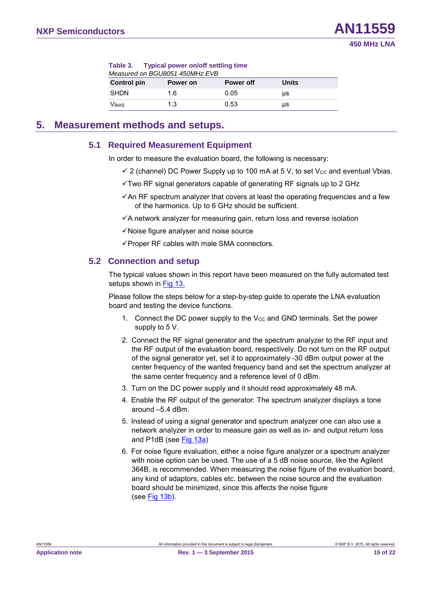<span id="page-14-0"></span>

| Table 3. Typical power on/off settling time |          |           |              |  |
|---------------------------------------------|----------|-----------|--------------|--|
| Measured on BGU8051 450MHz EVB              |          |           |              |  |
| <b>Control pin</b>                          | Power on | Power off | <b>Units</b> |  |
| <b>SHDN</b>                                 | 1.6      | 0.05      | us           |  |
| <b>V</b> BIAS                               | 1.3      | 0.53      | μs           |  |

#### <span id="page-14-1"></span>**5. Measurement methods and setups.**

#### <span id="page-14-2"></span>**5.1 Required Measurement Equipment**

In order to measure the evaluation board, the following is necessary:

- $\checkmark$  2 (channel) DC Power Supply up to 100 mA at 5 V, to set V $cc$  and eventual Vbias.
- $\checkmark$  Two RF signal generators capable of generating RF signals up to 2 GHz
- $\checkmark$  An RF spectrum analyzer that covers at least the operating frequencies and a few of the harmonics. Up to 6 GHz should be sufficient.
- $\checkmark$  A network analyzer for measuring gain, return loss and reverse isolation
- $\checkmark$  Noise figure analyser and noise source
- <span id="page-14-3"></span> $\checkmark$  Proper RF cables with male SMA connectors.

#### **5.2 Connection and setup**

The typical values shown in this report have been measured on the fully automated test setups shown in [Fig 13.](#page-15-0)

Please follow the steps below for a step-by-step guide to operate the LNA evaluation board and testing the device functions.

- 1. Connect the DC power supply to the  $V_{CC}$  and GND terminals. Set the power supply to 5 V.
- 2. Connect the RF signal generator and the spectrum analyzer to the RF input and the RF output of the evaluation board, respectively. Do not turn on the RF output of the signal generator yet, set it to approximately -30 dBm output power at the center frequency of the wanted frequency band and set the spectrum analyzer at the same center frequency and a reference level of 0 dBm.
- 3. Turn on the DC power supply and it should read approximately 48 mA.
- 4. Enable the RF output of the generator: The spectrum analyzer displays a tone around –5.4 dBm.
- 5. Instead of using a signal generator and spectrum analyzer one can also use a network analyzer in order to measure gain as well as in- and output return loss and P1dB (see [Fig 13a\)](#page-15-0)
- 6. For noise figure evaluation, either a noise figure analyzer or a spectrum analyzer with noise option can be used. The use of a 5 dB noise source, like the Agilent 364B, is recommended. When measuring the noise figure of the evaluation board, any kind of adaptors, cables etc. between the noise source and the evaluation board should be minimized, since this affects the noise figure (se[e Fig 13b](#page-15-0)).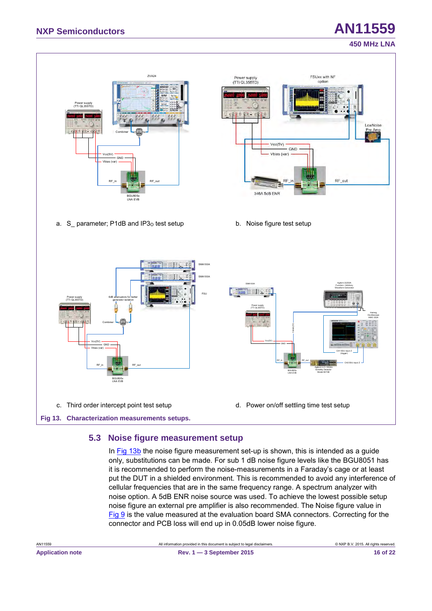#### **450 MHz LNA**

<span id="page-15-1"></span>

#### <span id="page-15-3"></span><span id="page-15-2"></span><span id="page-15-0"></span>**5.3 Noise figure measurement setup**

In  $Fig 13b$  the noise figure measurement set-up is shown, this is intended as a guide only, substitutions can be made. For sub 1 dB noise figure levels like the BGU8051 has it is recommended to perform the noise-measurements in a Faraday's cage or at least put the DUT in a shielded environment. This is recommended to avoid any interference of cellular frequencies that are in the same frequency range. A spectrum analyzer with noise option. A 5dB ENR noise source was used. To achieve the lowest possible setup noise figure an external pre amplifier is also recommended. The Noise figure value in [Fig 9](#page-11-0) is the value measured at the evaluation board SMA connectors. Correcting for the connector and PCB loss will end up in 0.05dB lower noise figure.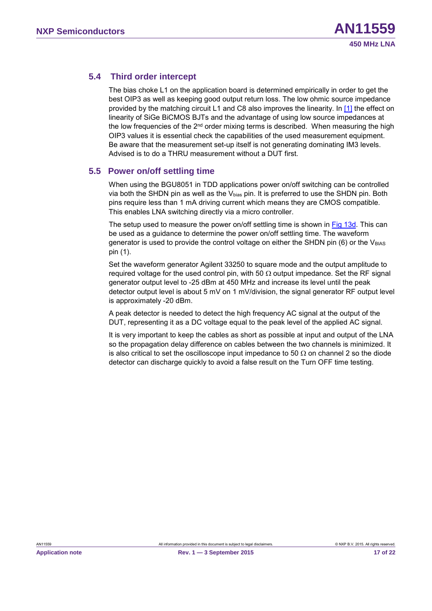#### <span id="page-16-1"></span>**5.4 Third order intercept**

The bias choke L1 on the application board is determined empirically in order to get the best OIP3 as well as keeping good output return loss. The low ohmic source impedance provided by the matching circuit L1 and C8 also improves the linearity. In [\[1\]](#page-17-0) the effect on linearity of SiGe BiCMOS BJTs and the advantage of using low source impedances at the low frequencies of the  $2<sup>nd</sup>$  order mixing terms is described. When measuring the high OIP3 values it is essential check the capabilities of the used measurement equipment. Be aware that the measurement set-up itself is not generating dominating IM3 levels. Advised is to do a THRU measurement without a DUT first.

#### <span id="page-16-0"></span>**5.5 Power on/off settling time**

When using the BGU8051 in TDD applications power on/off switching can be controlled via both the SHDN pin as well as the  $V_{bias}$  pin. It is preferred to use the SHDN pin. Both pins require less than 1 mA driving current which means they are CMOS compatible. This enables LNA switching directly via a micro controller.

The setup used to measure the power on/off settling time is shown in [Fig 13d.](#page-15-0) This can be used as a guidance to determine the power on/off settling time. The waveform generator is used to provide the control voltage on either the SHDN pin  $(6)$  or the V<sub>BIAS</sub> pin (1).

Set the waveform generator Agilent 33250 to square mode and the output amplitude to required voltage for the used control pin, with 50  $\Omega$  output impedance. Set the RF signal generator output level to -25 dBm at 450 MHz and increase its level until the peak detector output level is about 5 mV on 1 mV/division, the signal generator RF output level is approximately -20 dBm.

A peak detector is needed to detect the high frequency AC signal at the output of the DUT, representing it as a DC voltage equal to the peak level of the applied AC signal.

It is very important to keep the cables as short as possible at input and output of the LNA so the propagation delay difference on cables between the two channels is minimized. It is also critical to set the oscilloscope input impedance to 50  $\Omega$  on channel 2 so the diode detector can discharge quickly to avoid a false result on the Turn OFF time testing.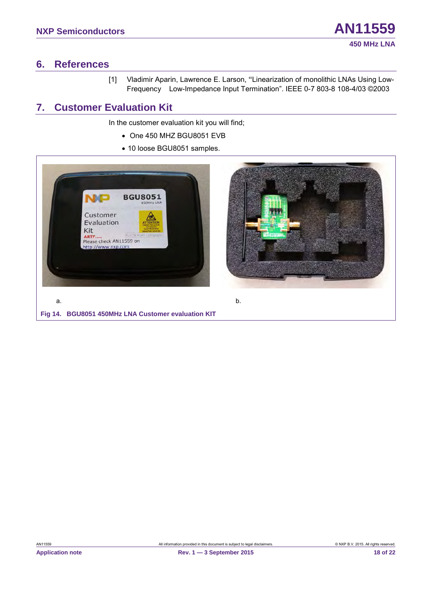#### <span id="page-17-2"></span>**6. References**

<span id="page-17-0"></span>[1] Vladimir Aparin, Lawrence E. Larson, "Linearization of monolithic LNAs Using Low-Frequency Low-Impedance Input Termination". IEEE 0-7 803-8 108-4/03 ©2003

#### <span id="page-17-3"></span>**7. Customer Evaluation Kit**

In the customer evaluation kit you will find;

- One 450 MHZ BGU8051 EVB
- 10 loose BGU8051 samples.

<span id="page-17-1"></span>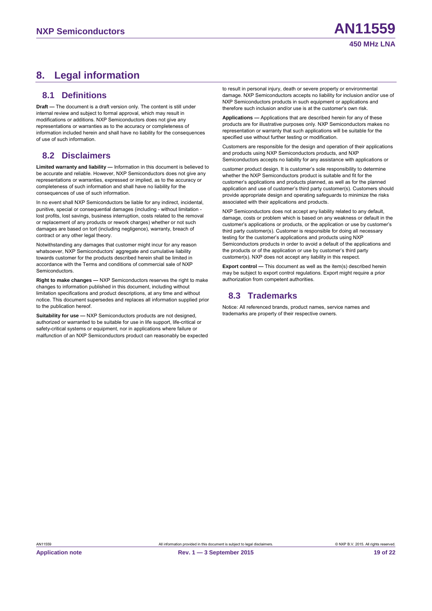#### <span id="page-18-0"></span>**8. Legal information**

#### <span id="page-18-1"></span>**8.1 Definitions**

**Draft —** The document is a draft version only. The content is still under internal review and subject to formal approval, which may result in modifications or additions. NXP Semiconductors does not give any representations or warranties as to the accuracy or completeness of information included herein and shall have no liability for the consequences of use of such information.

#### <span id="page-18-2"></span>**8.2 Disclaimers**

**Limited warranty and liability —** Information in this document is believed to be accurate and reliable. However, NXP Semiconductors does not give any representations or warranties, expressed or implied, as to the accuracy or completeness of such information and shall have no liability for the consequences of use of such information.

In no event shall NXP Semiconductors be liable for any indirect, incidental, punitive, special or consequential damages (including - without limitation lost profits, lost savings, business interruption, costs related to the removal or replacement of any products or rework charges) whether or not such damages are based on tort (including negligence), warranty, breach of contract or any other legal theory.

Notwithstanding any damages that customer might incur for any reason whatsoever, NXP Semiconductors' aggregate and cumulative liability towards customer for the products described herein shall be limited in accordance with the Terms and conditions of commercial sale of NXP **Semiconductors** 

**Right to make changes —** NXP Semiconductors reserves the right to make changes to information published in this document, including without limitation specifications and product descriptions, at any time and without notice. This document supersedes and replaces all information supplied prior to the publication hereof.

**Suitability for use —** NXP Semiconductors products are not designed, authorized or warranted to be suitable for use in life support, life-critical or safety-critical systems or equipment, nor in applications where failure or malfunction of an NXP Semiconductors product can reasonably be expected

to result in personal injury, death or severe property or environmental damage. NXP Semiconductors accepts no liability for inclusion and/or use of NXP Semiconductors products in such equipment or applications and therefore such inclusion and/or use is at the customer's own risk.

**Applications —** Applications that are described herein for any of these products are for illustrative purposes only. NXP Semiconductors makes no representation or warranty that such applications will be suitable for the specified use without further testing or modification.

Customers are responsible for the design and operation of their applications and products using NXP Semiconductors products, and NXP Semiconductors accepts no liability for any assistance with applications or

customer product design. It is customer's sole responsibility to determine whether the NXP Semiconductors product is suitable and fit for the customer's applications and products planned, as well as for the planned application and use of customer's third party customer(s). Customers should provide appropriate design and operating safeguards to minimize the risks associated with their applications and products.

NXP Semiconductors does not accept any liability related to any default, damage, costs or problem which is based on any weakness or default in the customer's applications or products, or the application or use by customer's third party customer(s). Customer is responsible for doing all necessary testing for the customer's applications and products using NXP Semiconductors products in order to avoid a default of the applications and the products or of the application or use by customer's third party customer(s). NXP does not accept any liability in this respect.

**Export control —** This document as well as the item(s) described herein may be subject to export control regulations. Export might require a prior authorization from competent authorities.

#### <span id="page-18-3"></span>**8.3 Trademarks**

Notice: All referenced brands, product names, service names and trademarks are property of their respective owners.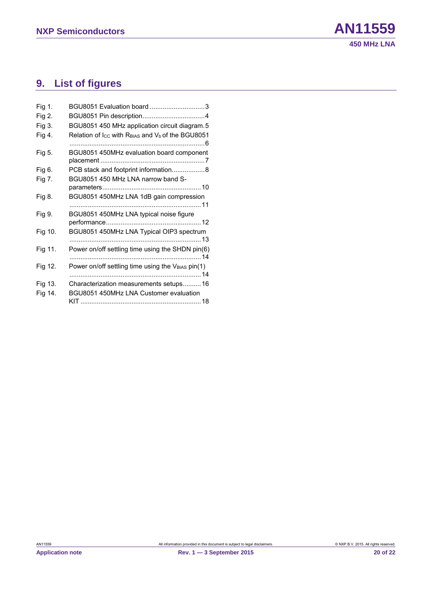## <span id="page-19-0"></span>**9. List of figures**

| Fig 1.  | BGU8051 Evaluation board 3                        |
|---------|---------------------------------------------------|
| Fig 2.  |                                                   |
| Fig 3.  | BGU8051 450 MHz application circuit diagram. 5    |
| Fig 4.  | Relation of Icc with RBIAS and Vb of the BGU8051  |
| Fig 5.  | BGU8051 450MHz evaluation board component         |
| Fig 6.  | PCB stack and footprint information 8             |
| Fig 7.  | BGU8051 450 MHz LNA narrow band S-                |
| Fig 8.  | BGU8051 450MHz LNA 1dB gain compression           |
| Fig 9.  | BGU8051 450MHz LNA typical noise figure           |
| Fig 10. | BGU8051 450MHz LNA Typical OIP3 spectrum          |
| Fig 11. | Power on/off settling time using the SHDN pin(6)  |
| Fig 12. | Power on/off settling time using the VBIAS pin(1) |
| Fig 13. | Characterization measurements setups16            |
| Fig 14. | BGU8051 450MHz LNA Customer evaluation            |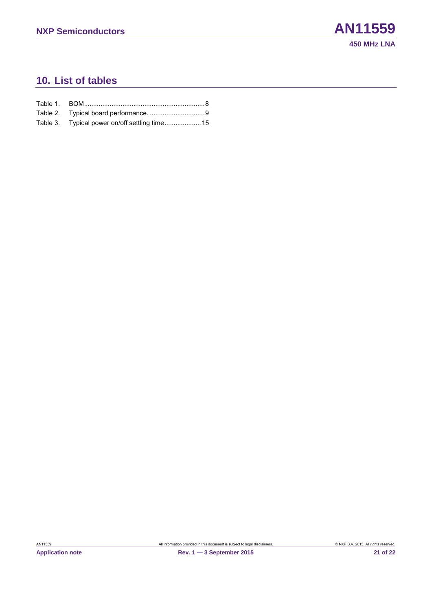### <span id="page-20-0"></span>**10. List of tables**